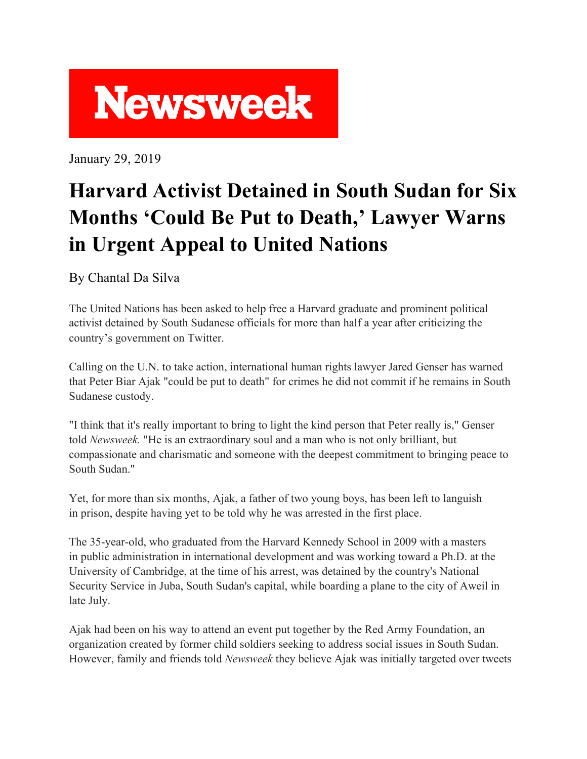

January 29, 2019

## **Harvard Activist Detained in South Sudan for Six Months 'Could Be Put to Death, ' Lawyer Warns in Urgent Appeal to United Nations**

By Chantal Da Silva

The United Nations has been asked to help free a Harvard graduate and prominent political activist detained by South Sudanese officials for more than half a year after criticizing the country's government on Twitter.

Calling on the U.N. to take action, international human rights lawyer Jared Genser has warned that Peter Biar Ajak "could be put to death" for crimes he did not commit if he remains in South Sudanese custody.

"I think that it's really important to bring to light the kind person that Peter really is," Genser told *Newsweek.* "He is an extraordinary soul and a man who is not only brilliant, but compassionate and charismatic and someone with the deepest commitment to bringing peace to South Sudan."

Yet, for more than six months, Ajak, a father of two young boys, has been left to languish in prison, despite having yet to be told why he was arrested in the first place.

The 35-year-old, who graduated from the Harvard Kennedy School in 2009 with a masters in public administration in international development and was working toward a Ph.D. at the University of Cambridge, at the time of his arrest, was detained by the country's National Security Service in Juba, South Sudan's capital, while boarding a plane to the city of Aweil in late July.

Ajak had been on his way to attend an event put together by the Red Army Foundation, an organization created by former child soldiers seeking to address social issues in South Sudan. However, family and friends told *Newsweek* they believe Ajak was initially targeted over tweets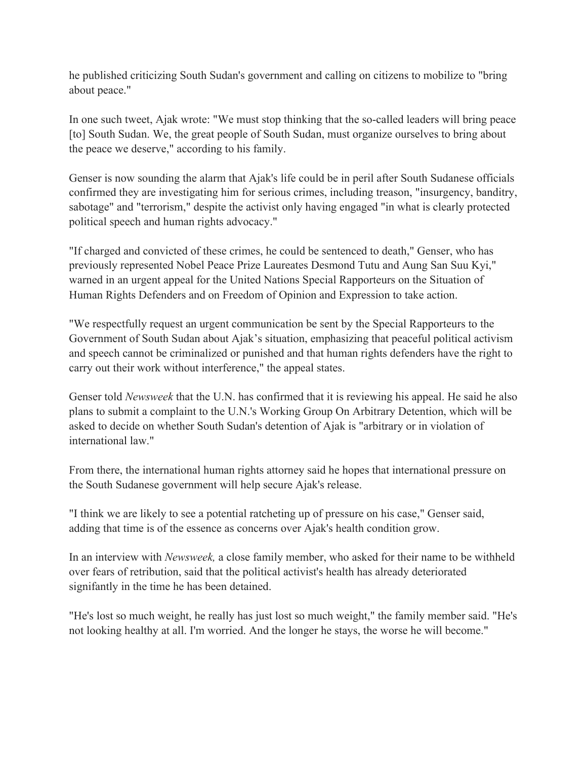he published criticizing South Sudan's government and calling on citizens to mobilize to "bring about peace."

In one such tweet, Ajak wrote: "We must stop thinking that the so-called leaders will bring peace [to] South Sudan. We, the great people of South Sudan, must organize ourselves to bring about the peace we deserve," according to his family.

Genser is now sounding the alarm that Ajak's life could be in peril after South Sudanese officials confirmed they are investigating him for serious crimes, including treason, "insurgency, banditry, sabotage" and "terrorism," despite the activist only having engaged "in what is clearly protected political speech and human rights advocacy."

"If charged and convicted of these crimes, he could be sentenced to death," Genser, who has previously represented Nobel Peace Prize Laureates Desmond Tutu and Aung San Suu Kyi," warned in an urgent appeal for the United Nations Special Rapporteurs on the Situation of Human Rights Defenders and on Freedom of Opinion and Expression to take action.

"We respectfully request an urgent communication be sent by the Special Rapporteurs to the Government of South Sudan about Ajak's situation, emphasizing that peaceful political activism and speech cannot be criminalized or punished and that human rights defenders have the right to carry out their work without interference," the appeal states.

Genser told *Newsweek* that the U.N. has confirmed that it is reviewing his appeal. He said he also plans to submit a complaint to the U.N.'s Working Group On Arbitrary Detention, which will be asked to decide on whether South Sudan's detention of Ajak is "arbitrary or in violation of international law."

From there, the international human rights attorney said he hopes that international pressure on the South Sudanese government will help secure Ajak's release.

"I think we are likely to see a potential ratcheting up of pressure on his case," Genser said, adding that time is of the essence as concerns over Ajak's health condition grow.

In an interview with *Newsweek,* a close family member, who asked for their name to be withheld over fears of retribution, said that the political activist's health has already deteriorated signifantly in the time he has been detained.

"He's lost so much weight, he really has just lost so much weight," the family member said. "He's not looking healthy at all. I'm worried. And the longer he stays, the worse he will become."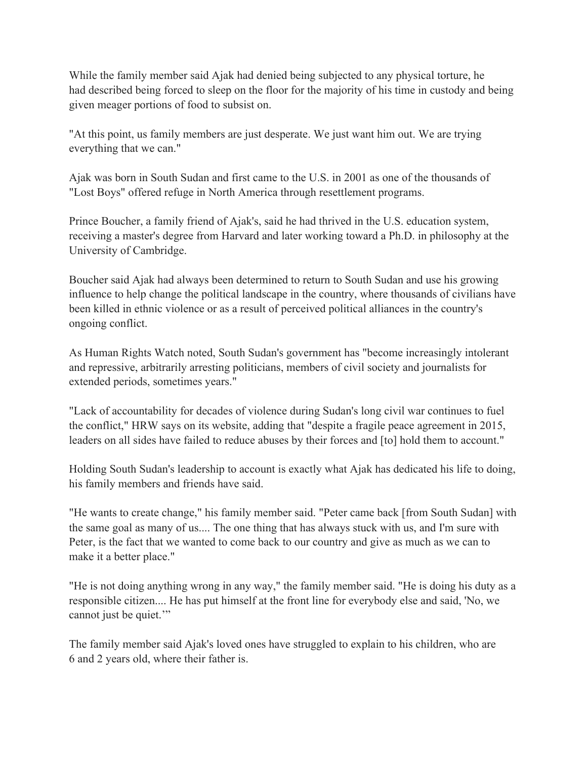While the family member said Ajak had denied being subjected to any physical torture, he had described being forced to sleep on the floor for the majority of his time in custody and being given meager portions of food to subsist on.

"At this point, us family members are just desperate. We just want him out. We are trying everything that we can."

Ajak was born in South Sudan and first came to the U.S. in 2001 as one of the thousands of "Lost Boys" offered refuge in North America through resettlement programs.

Prince Boucher, a family friend of Ajak's, said he had thrived in the U.S. education system, receiving a master's degree from Harvard and later working toward a Ph.D. in philosophy at the University of Cambridge.

Boucher said Ajak had always been determined to return to South Sudan and use his growing influence to help change the political landscape in the country, where thousands of civilians have been killed in ethnic violence or as a result of perceived political alliances in the country's ongoing conflict.

As Human Rights Watch noted, South Sudan's government has "become increasingly intolerant and repressive, arbitrarily arresting politicians, members of civil society and journalists for extended periods, sometimes years."

"Lack of accountability for decades of violence during Sudan's long civil war continues to fuel the conflict," HRW says on its website, adding that "despite a fragile peace agreement in 2015, leaders on all sides have failed to reduce abuses by their forces and [to] hold them to account."

Holding South Sudan's leadership to account is exactly what Ajak has dedicated his life to doing, his family members and friends have said.

"He wants to create change," his family member said. "Peter came back [from South Sudan] with the same goal as many of us.... The one thing that has always stuck with us, and I'm sure with Peter, is the fact that we wanted to come back to our country and give as much as we can to make it a better place."

"He is not doing anything wrong in any way," the family member said. "He is doing his duty as a responsible citizen.... He has put himself at the front line for everybody else and said, 'No, we cannot just be quiet."

The family member said Ajak's loved ones have struggled to explain to his children, who are 6 and 2 years old, where their father is.